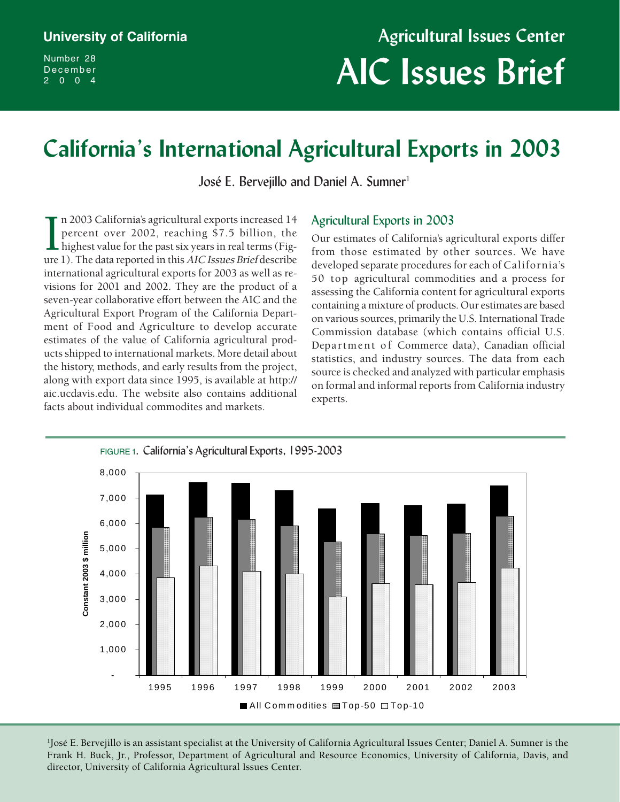Number 28 December 2004

# **California's International Agricultural Exports in 2003**

José E. Bervejillo and Daniel A. Sumner<sup>1</sup>

In 2003 California's agricultural exports increased 14<br>percent over 2002, reaching \$7.5 billion, the<br>highest value for the past six years in real terms (Fig-<br>ure 1). The data reported in this AIC Issues Brief describe n 2003 California's agricultural exports increased 14 percent over 2002, reaching \$7.5 billion, the highest value for the past six years in real terms (Figinternational agricultural exports for 2003 as well as revisions for 2001 and 2002. They are the product of a seven-year collaborative effort between the AIC and the Agricultural Export Program of the California Department of Food and Agriculture to develop accurate estimates of the value of California agricultural products shipped to international markets. More detail about the history, methods, and early results from the project, along with export data since 1995, is available at http:// aic.ucdavis.edu. The website also contains additional facts about individual commodites and markets.

#### Agricultural Exports in 2003

Our estimates of California's agricultural exports differ from those estimated by other sources. We have developed separate procedures for each of California's 50 top agricultural commodities and a process for assessing the California content for agricultural exports containing a mixture of products. Our estimates are based on various sources, primarily the U.S. International Trade Commission database (which contains official U.S. Department of Commerce data), Canadian official statistics, and industry sources. The data from each source is checked and analyzed with particular emphasis on formal and informal reports from California industry experts.



director, University of California Agricultural Issues Center. 1 José E. Bervejillo is an assistant specialist at the University of California Agricultural Issues Center; Daniel A. Sumner is the Frank H. Buck, Jr., Professor, Department of Agricultural and Resource Economics, University of California, Davis, and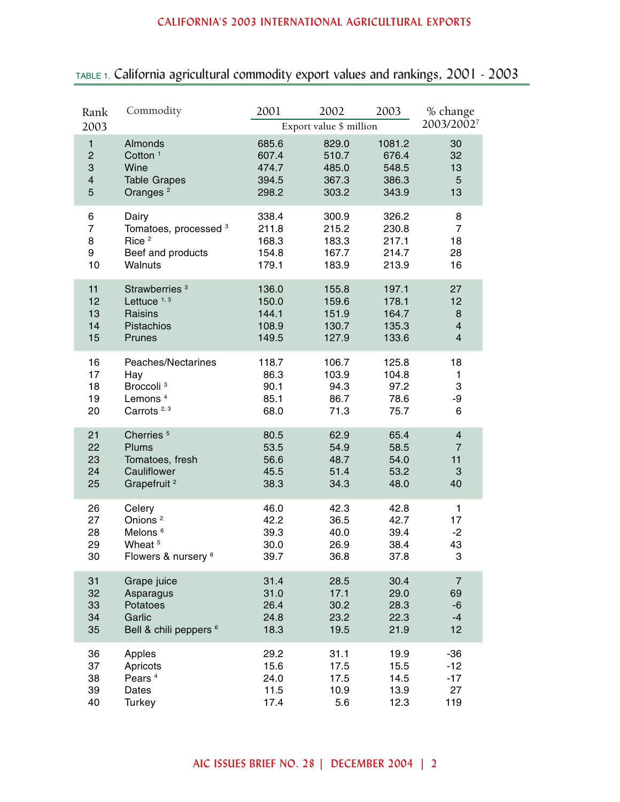| Rank<br>2003            | Commodity                         | 2001  | 2002<br>Export value \$ million | 2003   | % change<br>2003/20027  |
|-------------------------|-----------------------------------|-------|---------------------------------|--------|-------------------------|
| $\mathbf{1}$            | Almonds                           | 685.6 | 829.0                           | 1081.2 | 30                      |
| $\overline{c}$          | Cotton <sup>1</sup>               | 607.4 | 510.7                           | 676.4  | 32                      |
| 3                       | Wine                              | 474.7 | 485.0                           | 548.5  | 13                      |
| $\overline{\mathbf{4}}$ | <b>Table Grapes</b>               | 394.5 | 367.3                           | 386.3  | 5                       |
| 5                       | Oranges <sup>2</sup>              | 298.2 | 303.2                           | 343.9  | 13                      |
| 6                       | Dairy                             | 338.4 | 300.9                           | 326.2  | 8                       |
| $\overline{7}$          | Tomatoes, processed <sup>3</sup>  | 211.8 | 215.2                           | 230.8  | $\overline{7}$          |
| 8                       | Rice <sup>2</sup>                 | 168.3 | 183.3                           | 217.1  | 18                      |
| 9                       | Beef and products                 | 154.8 | 167.7                           | 214.7  | 28                      |
| 10                      | Walnuts                           | 179.1 | 183.9                           | 213.9  | 16                      |
| 11                      | Strawberries <sup>3</sup>         | 136.0 | 155.8                           | 197.1  | 27                      |
| 12                      | Lettuce <sup>1,3</sup>            | 150.0 | 159.6                           | 178.1  | 12                      |
| 13                      | Raisins                           | 144.1 | 151.9                           | 164.7  | 8                       |
| 14                      | Pistachios                        | 108.9 | 130.7                           | 135.3  | $\overline{\mathbf{4}}$ |
| 15                      | Prunes                            | 149.5 | 127.9                           | 133.6  | $\overline{4}$          |
| 16                      | Peaches/Nectarines                | 118.7 | 106.7                           | 125.8  | 18                      |
| 17                      | Hay                               | 86.3  | 103.9                           | 104.8  | 1                       |
| 18                      | Broccoli <sup>3</sup>             | 90.1  | 94.3                            | 97.2   | 3                       |
| 19                      | Lemons <sup>4</sup>               | 85.1  | 86.7                            | 78.6   | -9                      |
| 20                      | Carrots <sup>2,3</sup>            | 68.0  | 71.3                            | 75.7   | 6                       |
| 21                      | Cherries <sup>5</sup>             | 80.5  | 62.9                            | 65.4   | $\overline{\mathbf{4}}$ |
| 22                      | Plums                             | 53.5  | 54.9                            | 58.5   | $\overline{7}$          |
| 23                      | Tomatoes, fresh                   | 56.6  | 48.7                            | 54.0   | 11                      |
| 24                      | Cauliflower                       | 45.5  | 51.4                            | 53.2   | 3                       |
| 25                      | Grapefruit <sup>2</sup>           | 38.3  | 34.3                            | 48.0   | 40                      |
| 26                      | Celery                            | 46.0  | 42.3                            | 42.8   | 1                       |
| 27                      | Onions <sup>2</sup>               | 42.2  | 36.5                            | 42.7   | 17                      |
| 28                      | Melons <sup>6</sup>               | 39.3  | 40.0                            | 39.4   | $-2$                    |
| 29                      | Wheat <sup>5</sup>                | 30.0  | 26.9                            | 38.4   | 43                      |
| 30                      | Flowers & nursery 6               | 39.7  | 36.8                            | 37.8   | 3                       |
| 31                      | Grape juice                       | 31.4  | 28.5                            | 30.4   | $\overline{7}$          |
| 32                      | Asparagus                         | 31.0  | 17.1                            | 29.0   | 69                      |
| 33                      | Potatoes                          | 26.4  | 30.2                            | 28.3   | $-6$                    |
| 34                      | Garlic                            | 24.8  | 23.2                            | 22.3   | $-4$                    |
| 35                      | Bell & chili peppers <sup>6</sup> | 18.3  | 19.5                            | 21.9   | 12                      |
| 36                      | Apples                            | 29.2  | 31.1                            | 19.9   | $-36$                   |
| 37                      | Apricots                          | 15.6  | 17.5                            | 15.5   | $-12$                   |
| 38                      | Pears <sup>4</sup>                | 24.0  | 17.5                            | 14.5   | $-17$                   |
| 39                      | Dates                             | 11.5  | 10.9                            | 13.9   | 27                      |
| 40                      | Turkey                            | 17.4  | 5.6                             | 12.3   | 119                     |

# TABLE 1. California agricultural commodity export values and rankings, 2001 - 2003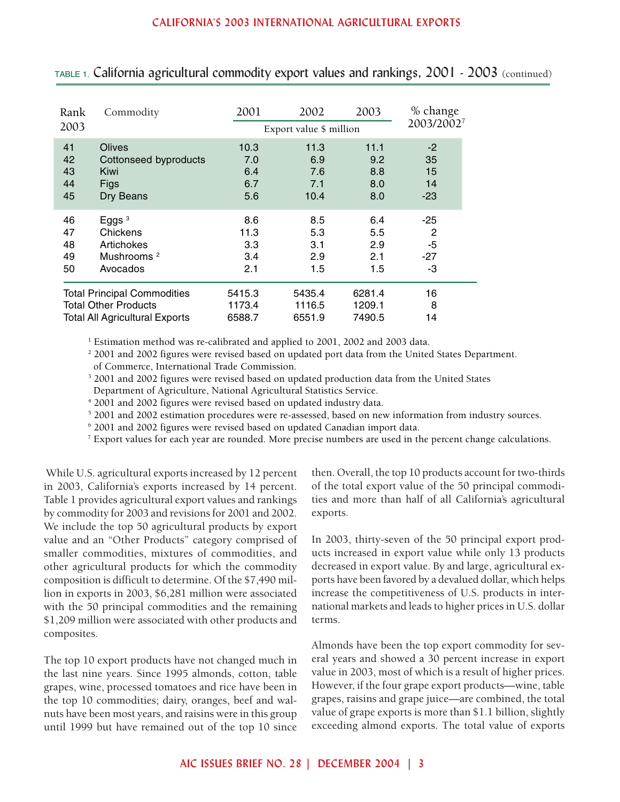| Rank<br>2003                          | Commodity              | 2001   | 2002<br>Export value \$ million | 2003   | % change<br>2003/20027 |
|---------------------------------------|------------------------|--------|---------------------------------|--------|------------------------|
| 41                                    | Olives                 | 10.3   | 11.3                            | 11.1   | $-2$                   |
| 42                                    | Cottonseed byproducts  | 7.0    | 6.9                             | 9.2    | 35                     |
| 43                                    | Kiwi                   | 6.4    | 7.6                             | 8.8    | 15                     |
| 44                                    | Figs                   | 6.7    | 7.1                             | 8.0    | 14                     |
| 45                                    | Dry Beans              | 5.6    | 10.4                            | 8.0    | $-23$                  |
| 46                                    | Eggs $3$               | 8.6    | 8.5                             | 6.4    | $-25$                  |
| 47                                    | Chickens               | 11.3   | 5.3                             | 5.5    | $\overline{2}$         |
| 48                                    | Artichokes             | 3.3    | 3.1                             | 2.9    | $-5$                   |
| 49                                    | Mushrooms <sup>2</sup> | 3.4    | 2.9                             | 2.1    | $-27$                  |
| 50                                    | Avocados               | 2.1    | 1.5                             | 1.5    | -3                     |
| <b>Total Principal Commodities</b>    |                        | 5415.3 | 5435.4                          | 6281.4 | 16                     |
| <b>Total Other Products</b>           |                        | 1173.4 | 1116.5                          | 1209.1 | 8                      |
| <b>Total All Agricultural Exports</b> |                        | 6588.7 | 6551.9                          | 7490.5 | 14                     |

TABLE 1. California agricultural commodity export values and rankings, 2001 - 2003 (continued)

 $^{\rm 1}$  Estimation method was re-calibrated and applied to 2001, 2002 and 2003 data.

2 2001 and 2002 figures were revised based on updated port data from the United States Department.

of Commerce, International Trade Commission.

3 2001 and 2002 figures were revised based on updated production data from the United States Department of Agriculture, National Agricultural Statistics Service.

4 2001 and 2002 figures were revised based on updated industry data.

5 2001 and 2002 estimation procedures were re-assessed, based on new information from industry sources.

6 2001 and 2002 figures were revised based on updated Canadian import data.

<sup>7</sup> Export values for each year are rounded. More precise numbers are used in the percent change calculations.

 While U.S. agricultural exports increased by 12 percent in 2003, California's exports increased by 14 percent. Table 1 provides agricultural export values and rankings by commodity for 2003 and revisions for 2001 and 2002. We include the top 50 agricultural products by export value and an "Other Products" category comprised of smaller commodities, mixtures of commodities, and other agricultural products for which the commodity composition is difficult to determine. Of the \$7,490 million in exports in 2003, \$6,281 million were associated with the 50 principal commodities and the remaining \$1,209 million were associated with other products and composites.

The top 10 export products have not changed much in the last nine years. Since 1995 almonds, cotton, table grapes, wine, processed tomatoes and rice have been in the top 10 commodities; dairy, oranges, beef and walnuts have been most years, and raisins were in this group until 1999 but have remained out of the top 10 since then. Overall, the top 10 products account for two-thirds of the total export value of the 50 principal commodities and more than half of all California's agricultural exports.

In 2003, thirty-seven of the 50 principal export products increased in export value while only 13 products decreased in export value. By and large, agricultural exports have been favored by a devalued dollar, which helps increase the competitiveness of U.S. products in international markets and leads to higher prices in U.S. dollar terms.

Almonds have been the top export commodity for several years and showed a 30 percent increase in export value in 2003, most of which is a result of higher prices. However, if the four grape export products—wine, table grapes, raisins and grape juice—are combined, the total value of grape exports is more than \$1.1 billion, slightly exceeding almond exports. The total value of exports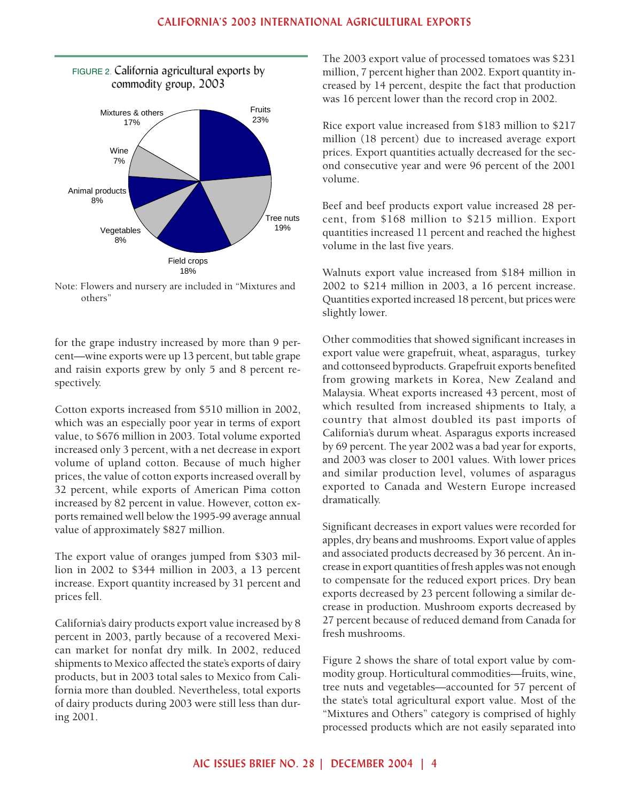

Note: Flowers and nursery are included in "Mixtures and others"

for the grape industry increased by more than 9 percent—wine exports were up 13 percent, but table grape and raisin exports grew by only 5 and 8 percent respectively.

Cotton exports increased from \$510 million in 2002, which was an especially poor year in terms of export value, to \$676 million in 2003. Total volume exported increased only 3 percent, with a net decrease in export volume of upland cotton. Because of much higher prices, the value of cotton exports increased overall by 32 percent, while exports of American Pima cotton increased by 82 percent in value. However, cotton exports remained well below the 1995-99 average annual value of approximately \$827 million.

The export value of oranges jumped from \$303 million in 2002 to \$344 million in 2003, a 13 percent increase. Export quantity increased by 31 percent and prices fell.

California's dairy products export value increased by 8 percent in 2003, partly because of a recovered Mexican market for nonfat dry milk. In 2002, reduced shipments to Mexico affected the state's exports of dairy products, but in 2003 total sales to Mexico from California more than doubled. Nevertheless, total exports of dairy products during 2003 were still less than during 2001.

The 2003 export value of processed tomatoes was \$231 million, 7 percent higher than 2002. Export quantity increased by 14 percent, despite the fact that production was 16 percent lower than the record crop in 2002.

Rice export value increased from \$183 million to \$217 million (18 percent) due to increased average export prices. Export quantities actually decreased for the second consecutive year and were 96 percent of the 2001 volume.

Beef and beef products export value increased 28 percent, from \$168 million to \$215 million. Export quantities increased 11 percent and reached the highest volume in the last five years.

Walnuts export value increased from \$184 million in 2002 to \$214 million in 2003, a 16 percent increase. Quantities exported increased 18 percent, but prices were slightly lower.

Other commodities that showed significant increases in export value were grapefruit, wheat, asparagus, turkey and cottonseed byproducts. Grapefruit exports benefited from growing markets in Korea, New Zealand and Malaysia. Wheat exports increased 43 percent, most of which resulted from increased shipments to Italy, a country that almost doubled its past imports of California's durum wheat. Asparagus exports increased by 69 percent. The year 2002 was a bad year for exports, and 2003 was closer to 2001 values. With lower prices and similar production level, volumes of asparagus exported to Canada and Western Europe increased dramatically.

Significant decreases in export values were recorded for apples, dry beans and mushrooms. Export value of apples and associated products decreased by 36 percent. An increase in export quantities of fresh apples was not enough to compensate for the reduced export prices. Dry bean exports decreased by 23 percent following a similar decrease in production. Mushroom exports decreased by 27 percent because of reduced demand from Canada for fresh mushrooms.

Figure 2 shows the share of total export value by commodity group. Horticultural commodities—fruits, wine, tree nuts and vegetables—accounted for 57 percent of the state's total agricultural export value. Most of the "Mixtures and Others" category is comprised of highly processed products which are not easily separated into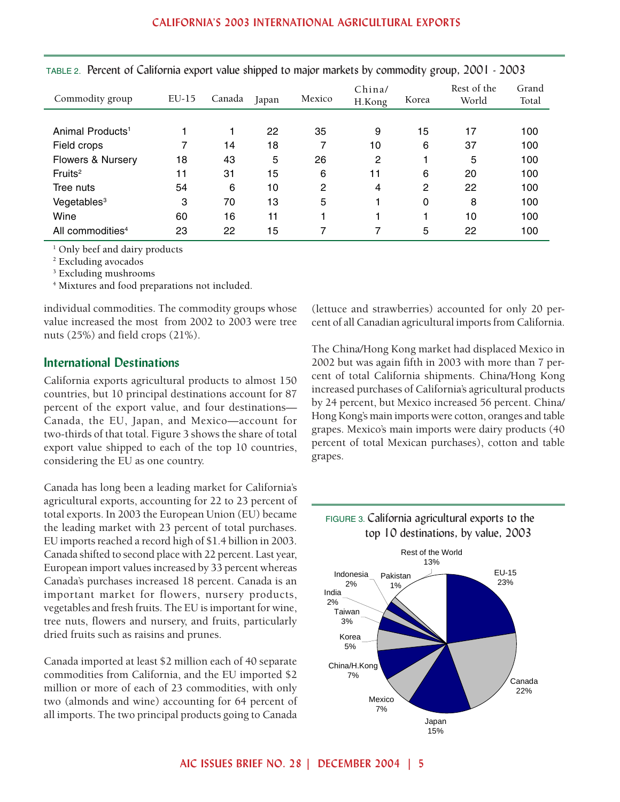| Commodity group              | $EU-15$ | Canada | Japan | Mexico | China/<br>H.Kong | Korea        | Rest of the<br>World | Grand<br>Total |
|------------------------------|---------|--------|-------|--------|------------------|--------------|----------------------|----------------|
|                              |         |        |       |        |                  |              |                      |                |
| Animal Products <sup>1</sup> |         |        | 22    | 35     | 9                | 15           | 17                   | 100            |
| Field crops                  | 7       | 14     | 18    | 7      | 10               | 6            | 37                   | 100            |
| <b>Flowers &amp; Nursery</b> | 18      | 43     | 5     | 26     | $\overline{2}$   |              | 5                    | 100            |
| Fruits <sup>2</sup>          | 11      | 31     | 15    | 6      | 11               | 6            | 20                   | 100            |
| Tree nuts                    | 54      | 6      | 10    | 2      | 4                | $\mathbf{2}$ | 22                   | 100            |
| Vegetables <sup>3</sup>      | 3       | 70     | 13    | 5      |                  | 0            | 8                    | 100            |
| Wine                         | 60      | 16     | 11    |        |                  | 1            | 10                   | 100            |
| All commodities <sup>4</sup> | 23      | 22     | 15    | 7      |                  | 5            | 22                   | 100            |

TABLE 2. Percent of California export value shipped to major markets by commodity group, 2001 - 2003

<sup>1</sup> Only beef and dairy products

2 Excluding avocados

3 Excluding mushrooms

4 Mixtures and food preparations not included.

individual commodities. The commodity groups whose value increased the most from 2002 to 2003 were tree nuts (25%) and field crops (21%).

#### **International Destinations**

California exports agricultural products to almost 150 countries, but 10 principal destinations account for 87 percent of the export value, and four destinations— Canada, the EU, Japan, and Mexico—account for two-thirds of that total. Figure 3 shows the share of total export value shipped to each of the top 10 countries, considering the EU as one country.

Canada has long been a leading market for California's agricultural exports, accounting for 22 to 23 percent of total exports. In 2003 the European Union (EU) became the leading market with 23 percent of total purchases. EU imports reached a record high of \$1.4 billion in 2003. Canada shifted to second place with 22 percent. Last year, European import values increased by 33 percent whereas Canada's purchases increased 18 percent. Canada is an important market for flowers, nursery products, vegetables and fresh fruits. The EU is important for wine, tree nuts, flowers and nursery, and fruits, particularly dried fruits such as raisins and prunes.

Canada imported at least \$2 million each of 40 separate commodities from California, and the EU imported \$2 million or more of each of 23 commodities, with only two (almonds and wine) accounting for 64 percent of all imports. The two principal products going to Canada (lettuce and strawberries) accounted for only 20 percent of all Canadian agricultural imports from California.

The China/Hong Kong market had displaced Mexico in 2002 but was again fifth in 2003 with more than 7 percent of total California shipments. China/Hong Kong increased purchases of California's agricultural products by 24 percent, but Mexico increased 56 percent. China/ Hong Kong's main imports were cotton, oranges and table grapes. Mexico's main imports were dairy products (40 percent of total Mexican purchases), cotton and table grapes.